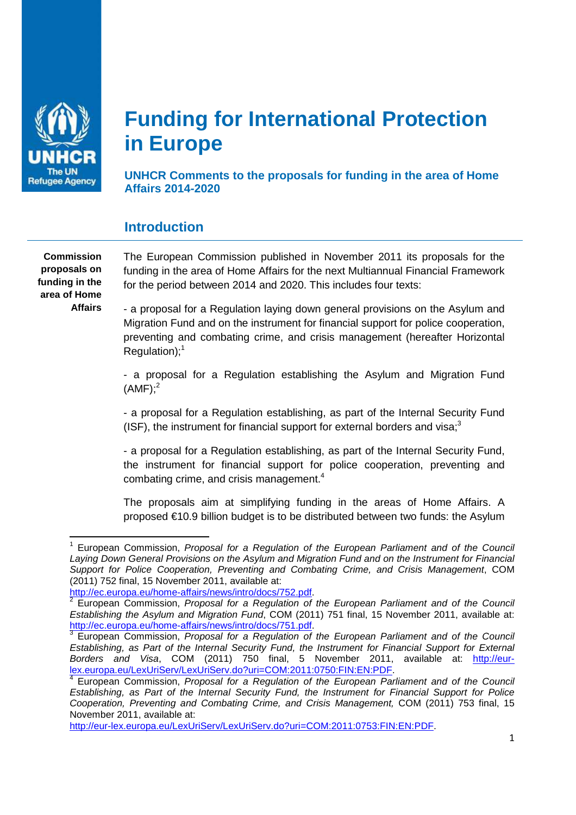

# **Funding for International Protection in Europe**

**UNHCR Comments to the proposals for funding in the area of Home Affairs 2014-2020** 

## **Introduction**

**Commission proposals on funding in the area of Home Affairs** 

 $\overline{a}$ 

 The European Commission published in November 2011 its proposals for the funding in the area of Home Affairs for the next Multiannual Financial Framework for the period between 2014 and 2020. This includes four texts:

- a proposal for a Regulation laying down general provisions on the Asylum and Migration Fund and on the instrument for financial support for police cooperation, preventing and combating crime, and crisis management (hereafter Horizontal  $Regulation$ <sup>1</sup>

- a proposal for a Regulation establishing the Asylum and Migration Fund  $(AMF):<sup>2</sup>$ 

- a proposal for a Regulation establishing, as part of the Internal Security Fund (ISF), the instrument for financial support for external borders and visa; $3<sup>3</sup>$ 

- a proposal for a Regulation establishing, as part of the Internal Security Fund, the instrument for financial support for police cooperation, preventing and combating crime, and crisis management.<sup>4</sup>

The proposals aim at simplifying funding in the areas of Home Affairs. A proposed €10.9 billion budget is to be distributed between two funds: the Asylum

http://eur-lex.europa.eu/LexUriServ/LexUriServ.do?uri=COM:2011:0753:FIN:EN:PDF.

<sup>&</sup>lt;sup>1</sup> European Commission, Proposal for a Regulation of the European Parliament and of the Council Laying Down General Provisions on the Asylum and Migration Fund and on the Instrument for Financial Support for Police Cooperation, Preventing and Combating Crime, and Crisis Management, COM (2011) 752 final, 15 November 2011, available at:

http://ec.europa.eu/home-affairs/news/intro/docs/752.pdf.<br><sup>2</sup> European Commission, Branceal for a Beaulation of a

European Commission, Proposal for a Regulation of the European Parliament and of the Council Establishing the Asylum and Migration Fund, COM (2011) 751 final, 15 November 2011, available at: http://ec.europa.eu/home-affairs/news/intro/docs/751.pdf.<br><sup>3</sup> European Commission, Branceal for a Beaulation of

European Commission, Proposal for a Regulation of the European Parliament and of the Council Establishing, as Part of the Internal Security Fund, the Instrument for Financial Support for External Borders and Visa, COM (2011) 750 final, 5 November 2011, available at: http://eurlex.europa.eu/LexUriServ/LexUriServ.do?uri=COM:2011:0750:FIN:EN:PDF.

<sup>&</sup>lt;sup>4</sup> European Commission, Proposal for a Regulation of the European Parliament and of the Council Establishing, as Part of the Internal Security Fund, the Instrument for Financial Support for Police Cooperation, Preventing and Combating Crime, and Crisis Management, COM (2011) 753 final, 15 November 2011, available at: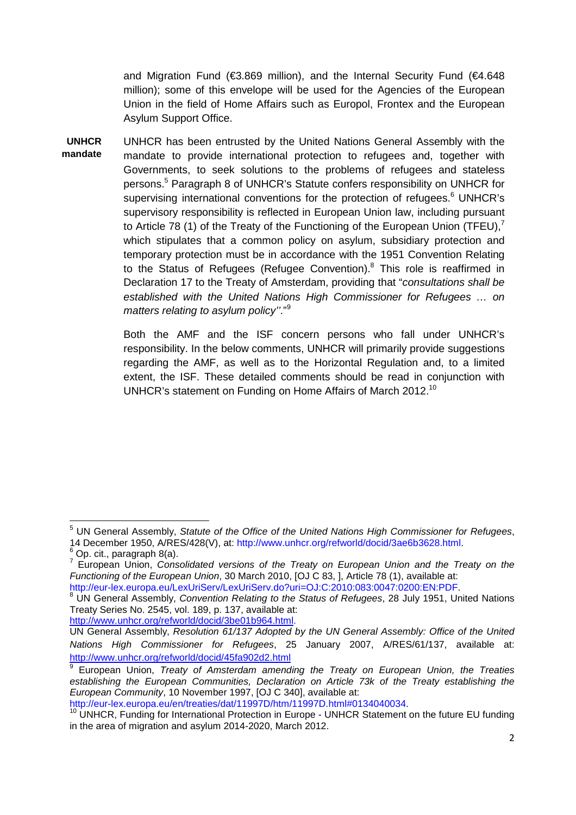and Migration Fund (€3.869 million), and the Internal Security Fund (€4.648 million); some of this envelope will be used for the Agencies of the European Union in the field of Home Affairs such as Europol, Frontex and the European Asylum Support Office.

**UNHCR mandate**  UNHCR has been entrusted by the United Nations General Assembly with the mandate to provide international protection to refugees and, together with Governments, to seek solutions to the problems of refugees and stateless persons.<sup>5</sup> Paragraph 8 of UNHCR's Statute confers responsibility on UNHCR for supervising international conventions for the protection of refugees.<sup>6</sup> UNHCR's supervisory responsibility is reflected in European Union law, including pursuant to Article 78 (1) of the Treaty of the Functioning of the European Union (TFEU),<sup>7</sup> which stipulates that a common policy on asylum, subsidiary protection and temporary protection must be in accordance with the 1951 Convention Relating to the Status of Refugees (Refugee Convention). $8$  This role is reaffirmed in Declaration 17 to the Treaty of Amsterdam, providing that "consultations shall be established with the United Nations High Commissioner for Refugees … on matters relating to asylum policy"."<sup>9</sup>

> Both the AMF and the ISF concern persons who fall under UNHCR's responsibility. In the below comments, UNHCR will primarily provide suggestions regarding the AMF, as well as to the Horizontal Regulation and, to a limited extent, the ISF. These detailed comments should be read in conjunction with UNHCR's statement on Funding on Home Affairs of March 2012.<sup>10</sup>

<sup>&</sup>lt;sup>5</sup> UN General Assembly, Statute of the Office of the United Nations High Commissioner for Refugees, 14 December 1950, A/RES/428(V), at: http://www.unhcr.org/refworld/docid/3ae6b3628.html.

<sup>6</sup> Op. cit., paragraph 8(a).

 $7$  European Union, Consolidated versions of the Treaty on European Union and the Treaty on the Functioning of the European Union, 30 March 2010, [OJ C 83, ], Article 78 (1), available at:

http://eur-lex.europa.eu/LexUriServ/LexUriServ.do?uri=OJ:C:2010:083:0047:0200:EN:PDF.

<sup>&</sup>lt;sup>8</sup> UN General Assembly, Convention Relating to the Status of Refugees, 28 July 1951, United Nations Treaty Series No. 2545, vol. 189, p. 137, available at:

http://www.unhcr.org/refworld/docid/3be01b964.html.

UN General Assembly, Resolution 61/137 Adopted by the UN General Assembly: Office of the United Nations High Commissioner for Refugees, 25 January 2007, A/RES/61/137, available at: http://www.unhcr.org/refworld/docid/45fa902d2.html

<sup>9</sup> European Union, Treaty of Amsterdam amending the Treaty on European Union, the Treaties establishing the European Communities, Declaration on Article 73k of the Treaty establishing the European Community, 10 November 1997, [OJ C 340], available at:

http://eur-lex.europa.eu/en/treaties/dat/11997D/htm/11997D.html#0134040034.

 $10$  UNHCR, Funding for International Protection in Europe - UNHCR Statement on the future EU funding in the area of migration and asylum 2014-2020, March 2012.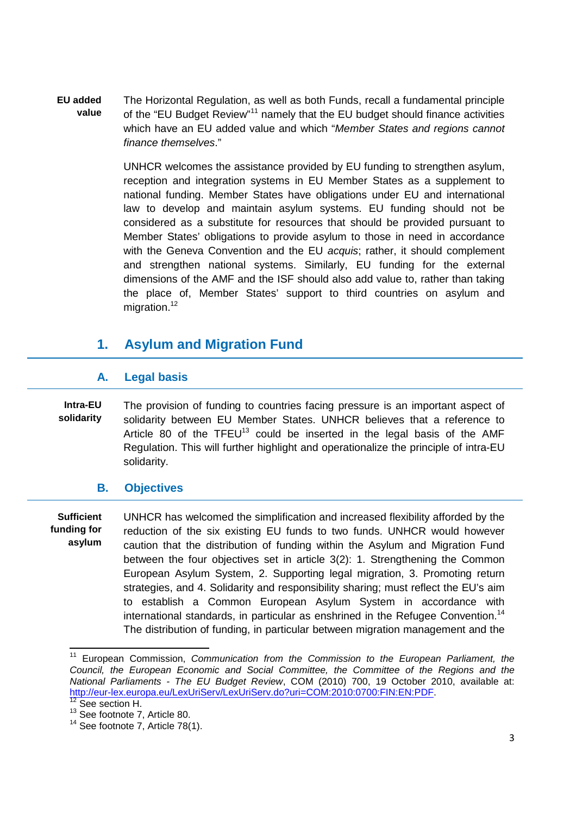**EU added value**  The Horizontal Regulation, as well as both Funds, recall a fundamental principle of the "EU Budget Review"<sup>11</sup> namely that the EU budget should finance activities which have an EU added value and which "Member States and regions cannot finance themselves."

> UNHCR welcomes the assistance provided by EU funding to strengthen asylum, reception and integration systems in EU Member States as a supplement to national funding. Member States have obligations under EU and international law to develop and maintain asylum systems. EU funding should not be considered as a substitute for resources that should be provided pursuant to Member States' obligations to provide asylum to those in need in accordance with the Geneva Convention and the EU *acquis*; rather, it should complement and strengthen national systems. Similarly, EU funding for the external dimensions of the AMF and the ISF should also add value to, rather than taking the place of, Member States' support to third countries on asylum and migration.<sup>12</sup>

# **1. Asylum and Migration Fund**

## **A. Legal basis**

**Intra-EU solidarity**  The provision of funding to countries facing pressure is an important aspect of solidarity between EU Member States. UNHCR believes that a reference to Article 80 of the  $TFEU^{13}$  could be inserted in the legal basis of the AMF Regulation. This will further highlight and operationalize the principle of intra-EU solidarity.

## **B. Objectives**

**Sufficient funding for asylum**  UNHCR has welcomed the simplification and increased flexibility afforded by the reduction of the six existing EU funds to two funds. UNHCR would however caution that the distribution of funding within the Asylum and Migration Fund between the four objectives set in article 3(2): 1. Strengthening the Common European Asylum System, 2. Supporting legal migration, 3. Promoting return strategies, and 4. Solidarity and responsibility sharing; must reflect the EU's aim to establish a Common European Asylum System in accordance with international standards, in particular as enshrined in the Refugee Convention.<sup>14</sup> The distribution of funding, in particular between migration management and the

<sup>&</sup>lt;sup>11</sup> European Commission, Communication from the Commission to the European Parliament, the Council, the European Economic and Social Committee, the Committee of the Regions and the National Parliaments - The EU Budget Review, COM (2010) 700, 19 October 2010, available at: http://eur-lex.europa.eu/LexUriServ/LexUriServ.do?uri=COM:2010:0700:FIN:EN:PDF.

See section H.

<sup>&</sup>lt;sup>13</sup> See footnote 7, Article 80.

 $14$  See footnote 7, Article 78(1).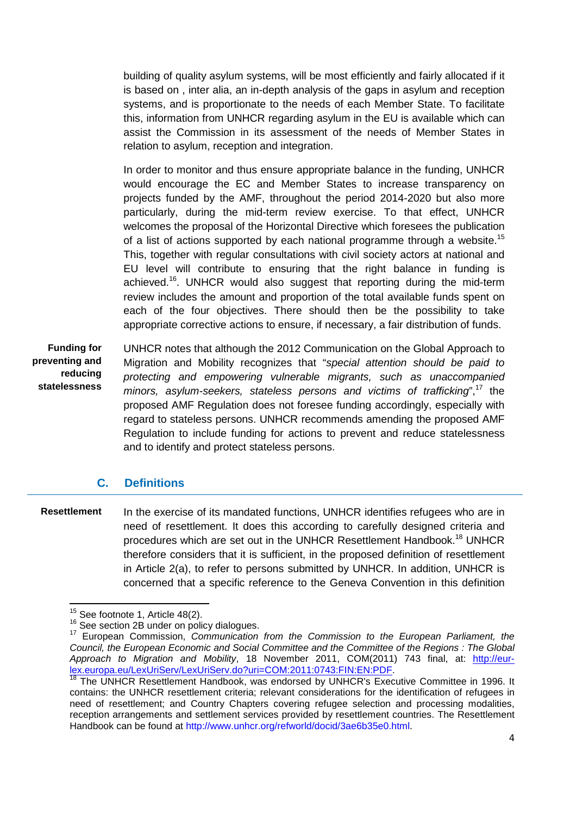building of quality asylum systems, will be most efficiently and fairly allocated if it is based on , inter alia, an in-depth analysis of the gaps in asylum and reception systems, and is proportionate to the needs of each Member State. To facilitate this, information from UNHCR regarding asylum in the EU is available which can assist the Commission in its assessment of the needs of Member States in relation to asylum, reception and integration.

In order to monitor and thus ensure appropriate balance in the funding, UNHCR would encourage the EC and Member States to increase transparency on projects funded by the AMF, throughout the period 2014-2020 but also more particularly, during the mid-term review exercise. To that effect, UNHCR welcomes the proposal of the Horizontal Directive which foresees the publication of a list of actions supported by each national programme through a website.<sup>15</sup> This, together with regular consultations with civil society actors at national and EU level will contribute to ensuring that the right balance in funding is achieved.<sup>16</sup>. UNHCR would also suggest that reporting during the mid-term review includes the amount and proportion of the total available funds spent on each of the four objectives. There should then be the possibility to take appropriate corrective actions to ensure, if necessary, a fair distribution of funds.

**Funding for preventing and reducing statelessness** 

 $\overline{a}$ 

 UNHCR notes that although the 2012 Communication on the Global Approach to Migration and Mobility recognizes that "special attention should be paid to protecting and empowering vulnerable migrants, such as unaccompanied minors, asylum-seekers, stateless persons and victims of trafficking", $17$  the proposed AMF Regulation does not foresee funding accordingly, especially with regard to stateless persons. UNHCR recommends amending the proposed AMF Regulation to include funding for actions to prevent and reduce statelessness and to identify and protect stateless persons.

## **C. Definitions**

**Resettlement** In the exercise of its mandated functions, UNHCR identifies refugees who are in need of resettlement. It does this according to carefully designed criteria and procedures which are set out in the UNHCR Resettlement Handbook.<sup>18</sup> UNHCR therefore considers that it is sufficient, in the proposed definition of resettlement in Article 2(a), to refer to persons submitted by UNHCR. In addition, UNHCR is concerned that a specific reference to the Geneva Convention in this definition

 $15$  See footnote 1, Article 48(2).

<sup>&</sup>lt;sup>16</sup> See section 2B under on policy dialogues.

<sup>&</sup>lt;sup>17</sup> European Commission, Communication from the Commission to the European Parliament, the Council, the European Economic and Social Committee and the Committee of the Regions : The Global Approach to Migration and Mobility, 18 November 2011, COM(2011) 743 final, at: http://eurlex.europa.eu/LexUriServ/LexUriServ.do?uri=COM:2011:0743:FIN:EN:PDF.

<sup>&</sup>lt;sup>18</sup> The UNHCR Resettlement Handbook, was endorsed by UNHCR's Executive Committee in 1996. It contains: the UNHCR resettlement criteria; relevant considerations for the identification of refugees in need of resettlement; and Country Chapters covering refugee selection and processing modalities, reception arrangements and settlement services provided by resettlement countries. The Resettlement Handbook can be found at http://www.unhcr.org/refworld/docid/3ae6b35e0.html.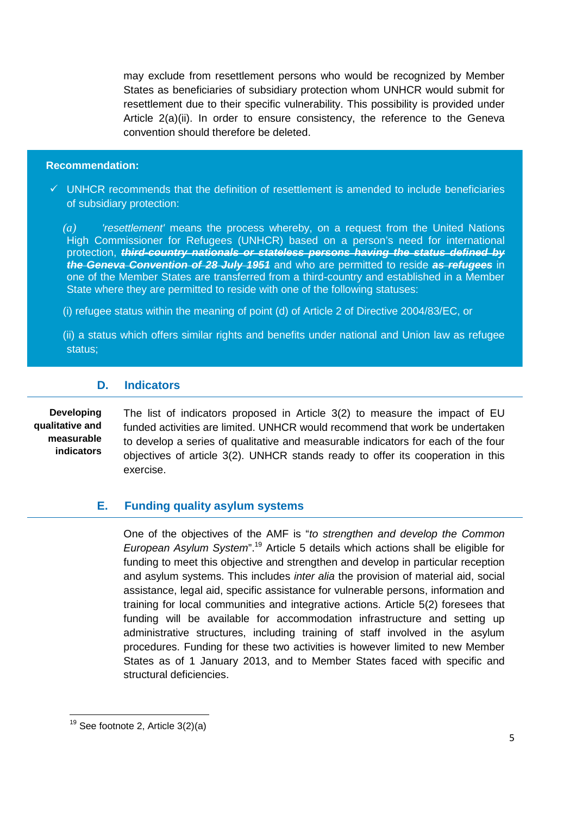may exclude from resettlement persons who would be recognized by Member States as beneficiaries of subsidiary protection whom UNHCR would submit for resettlement due to their specific vulnerability. This possibility is provided under Article 2(a)(ii). In order to ensure consistency, the reference to the Geneva convention should therefore be deleted.

#### **Recommendation:**

 $\checkmark$  UNHCR recommends that the definition of resettlement is amended to include beneficiaries of subsidiary protection:

*(a)* 'resettlement' means the process whereby, on a request from the United Nations High Commissioner for Refugees (UNHCR) based on a person's need for international protection, **third-country nationals or stateless persons having the status defined by the Geneva Convention of 28 July 1951** and who are permitted to reside **as refugees** in one of the Member States are transferred from a third-country and established in a Member State where they are permitted to reside with one of the following statuses:

(i) refugee status within the meaning of point (d) of Article 2 of Directive 2004/83/EC, or

(ii) a status which offers similar rights and benefits under national and Union law as refugee status;

#### **D. Indicators**

**Developing qualitative and measurable indicators** 

l

The list of indicators proposed in Article 3(2) to measure the impact of EU funded activities are limited. UNHCR would recommend that work be undertaken to develop a series of qualitative and measurable indicators for each of the four objectives of article 3(2). UNHCR stands ready to offer its cooperation in this exercise.

## **E. Funding quality asylum systems**

 One of the objectives of the AMF is "to strengthen and develop the Common European Asylum System".<sup>19</sup> Article 5 details which actions shall be eligible for funding to meet this objective and strengthen and develop in particular reception and asylum systems. This includes inter alia the provision of material aid, social assistance, legal aid, specific assistance for vulnerable persons, information and training for local communities and integrative actions. Article 5(2) foresees that funding will be available for accommodation infrastructure and setting up administrative structures, including training of staff involved in the asylum procedures. Funding for these two activities is however limited to new Member States as of 1 January 2013, and to Member States faced with specific and structural deficiencies.

 $19$  See footnote 2, Article 3(2)(a)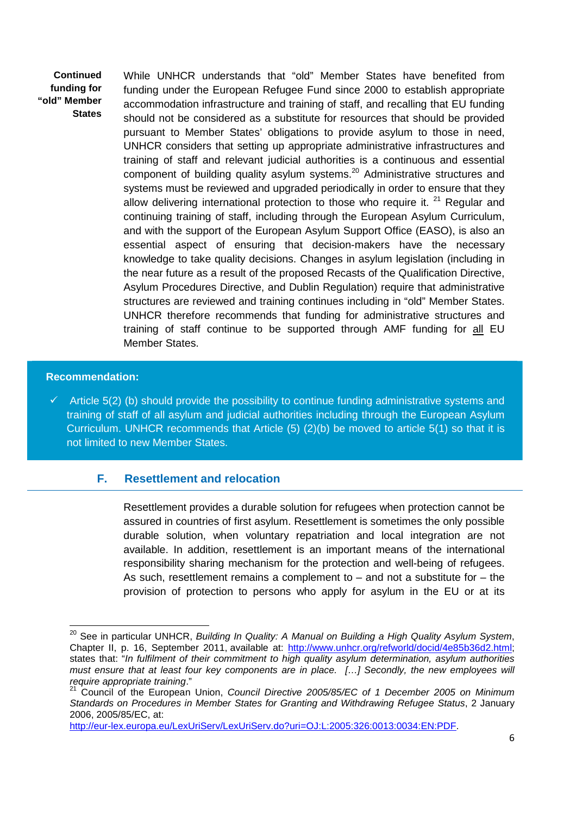**Continued funding for "old" Member States** 

 While UNHCR understands that "old" Member States have benefited from funding under the European Refugee Fund since 2000 to establish appropriate accommodation infrastructure and training of staff, and recalling that EU funding should not be considered as a substitute for resources that should be provided pursuant to Member States' obligations to provide asylum to those in need, UNHCR considers that setting up appropriate administrative infrastructures and training of staff and relevant judicial authorities is a continuous and essential component of building quality asylum systems.<sup>20</sup> Administrative structures and systems must be reviewed and upgraded periodically in order to ensure that they allow delivering international protection to those who require it. <sup>21</sup> Regular and continuing training of staff, including through the European Asylum Curriculum, and with the support of the European Asylum Support Office (EASO), is also an essential aspect of ensuring that decision-makers have the necessary knowledge to take quality decisions. Changes in asylum legislation (including in the near future as a result of the proposed Recasts of the Qualification Directive, Asylum Procedures Directive, and Dublin Regulation) require that administrative structures are reviewed and training continues including in "old" Member States. UNHCR therefore recommends that funding for administrative structures and training of staff continue to be supported through AMF funding for all EU Member States.

#### **Recommendation:**

l

 $\checkmark$  Article 5(2) (b) should provide the possibility to continue funding administrative systems and training of staff of all asylum and judicial authorities including through the European Asylum Curriculum. UNHCR recommends that Article (5) (2)(b) be moved to article 5(1) so that it is not limited to new Member States.

### **F. Resettlement and relocation**

 Resettlement provides a durable solution for refugees when protection cannot be assured in countries of first asylum. Resettlement is sometimes the only possible durable solution, when voluntary repatriation and local integration are not available. In addition, resettlement is an important means of the international responsibility sharing mechanism for the protection and well-being of refugees. As such, resettlement remains a complement to  $-$  and not a substitute for  $-$  the provision of protection to persons who apply for asylum in the EU or at its

 $20$  See in particular UNHCR, Building In Quality: A Manual on Building a High Quality Asylum System, Chapter II, p. 16, September 2011, available at: http://www.unhcr.org/refworld/docid/4e85b36d2.html; states that: "In fulfilment of their commitment to high quality asylum determination, asylum authorities must ensure that at least four key components are in place. […] Secondly, the new employees will require appropriate training."

<sup>&</sup>lt;sup>21</sup> Council of the European Union, Council Directive 2005/85/EC of 1 December 2005 on Minimum Standards on Procedures in Member States for Granting and Withdrawing Refugee Status, 2 January 2006, 2005/85/EC, at:

http://eur-lex.europa.eu/LexUriServ/LexUriServ.do?uri=OJ:L:2005:326:0013:0034:EN:PDF.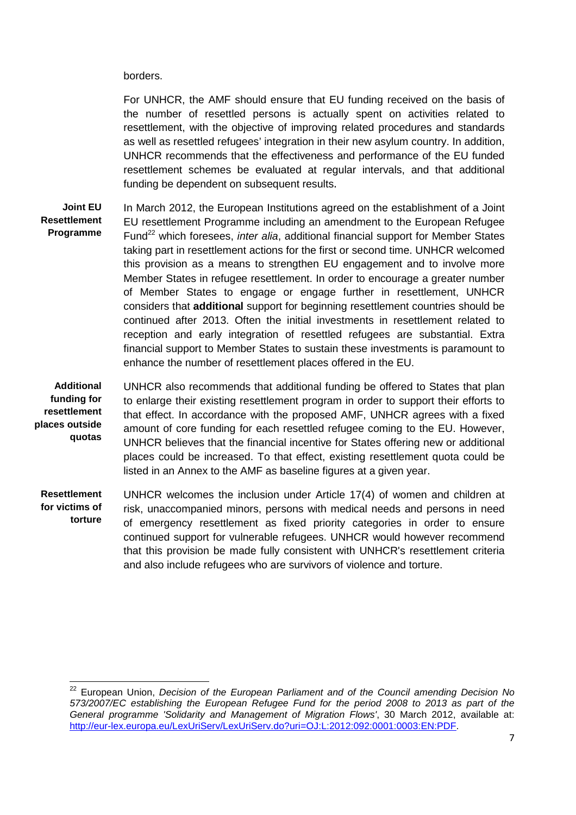borders.

 $\overline{a}$ 

For UNHCR, the AMF should ensure that EU funding received on the basis of the number of resettled persons is actually spent on activities related to resettlement, with the objective of improving related procedures and standards as well as resettled refugees' integration in their new asylum country. In addition, UNHCR recommends that the effectiveness and performance of the EU funded resettlement schemes be evaluated at regular intervals, and that additional funding be dependent on subsequent results.

**Joint EU Resettlement Programme**  In March 2012, the European Institutions agreed on the establishment of a Joint EU resettlement Programme including an amendment to the European Refugee Fund<sup>22</sup> which foresees, *inter alia*, additional financial support for Member States taking part in resettlement actions for the first or second time. UNHCR welcomed this provision as a means to strengthen EU engagement and to involve more Member States in refugee resettlement. In order to encourage a greater number of Member States to engage or engage further in resettlement, UNHCR considers that **additional** support for beginning resettlement countries should be continued after 2013. Often the initial investments in resettlement related to reception and early integration of resettled refugees are substantial. Extra financial support to Member States to sustain these investments is paramount to enhance the number of resettlement places offered in the EU.

**Additional funding for resettlement places outside quotas**  UNHCR also recommends that additional funding be offered to States that plan to enlarge their existing resettlement program in order to support their efforts to that effect. In accordance with the proposed AMF, UNHCR agrees with a fixed amount of core funding for each resettled refugee coming to the EU. However, UNHCR believes that the financial incentive for States offering new or additional places could be increased. To that effect, existing resettlement quota could be listed in an Annex to the AMF as baseline figures at a given year.

**Resettlement for victims of torture**  UNHCR welcomes the inclusion under Article 17(4) of women and children at risk, unaccompanied minors, persons with medical needs and persons in need of emergency resettlement as fixed priority categories in order to ensure continued support for vulnerable refugees. UNHCR would however recommend that this provision be made fully consistent with UNHCR's resettlement criteria and also include refugees who are survivors of violence and torture.

<sup>&</sup>lt;sup>22</sup> European Union, Decision of the European Parliament and of the Council amending Decision No 573/2007/EC establishing the European Refugee Fund for the period 2008 to 2013 as part of the General programme 'Solidarity and Management of Migration Flows', 30 March 2012, available at: http://eur-lex.europa.eu/LexUriServ/LexUriServ.do?uri=OJ:L:2012:092:0001:0003:EN:PDF.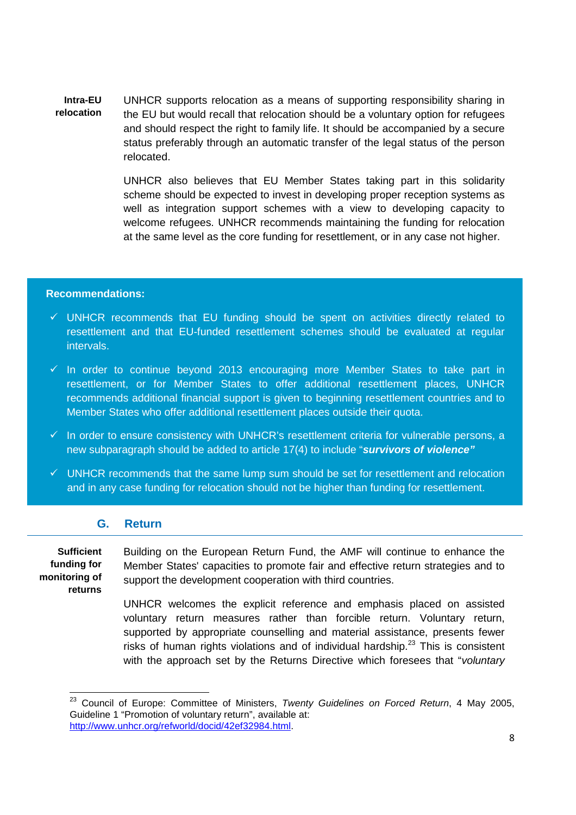**Intra-EU relocation**  UNHCR supports relocation as a means of supporting responsibility sharing in the EU but would recall that relocation should be a voluntary option for refugees and should respect the right to family life. It should be accompanied by a secure status preferably through an automatic transfer of the legal status of the person relocated.

> UNHCR also believes that EU Member States taking part in this solidarity scheme should be expected to invest in developing proper reception systems as well as integration support schemes with a view to developing capacity to welcome refugees. UNHCR recommends maintaining the funding for relocation at the same level as the core funding for resettlement, or in any case not higher.

#### **Recommendations:**

- $\checkmark$  UNHCR recommends that EU funding should be spent on activities directly related to resettlement and that EU-funded resettlement schemes should be evaluated at regular intervals.
- $\checkmark$  In order to continue beyond 2013 encouraging more Member States to take part in resettlement, or for Member States to offer additional resettlement places, UNHCR recommends additional financial support is given to beginning resettlement countries and to Member States who offer additional resettlement places outside their quota.
- $\checkmark$  In order to ensure consistency with UNHCR's resettlement criteria for vulnerable persons, a new subparagraph should be added to article 17(4) to include "**survivors of violence"**
- $\checkmark$  UNHCR recommends that the same lump sum should be set for resettlement and relocation and in any case funding for relocation should not be higher than funding for resettlement.

## **G. Return**

**Sufficient funding for monitoring of returns** 

l

 Building on the European Return Fund, the AMF will continue to enhance the Member States' capacities to promote fair and effective return strategies and to support the development cooperation with third countries.

UNHCR welcomes the explicit reference and emphasis placed on assisted voluntary return measures rather than forcible return. Voluntary return, supported by appropriate counselling and material assistance, presents fewer risks of human rights violations and of individual hardship.<sup>23</sup> This is consistent with the approach set by the Returns Directive which foresees that "*voluntary* 

<sup>&</sup>lt;sup>23</sup> Council of Europe: Committee of Ministers, Twenty Guidelines on Forced Return, 4 May 2005, Guideline 1 "Promotion of voluntary return", available at: http://www.unhcr.org/refworld/docid/42ef32984.html.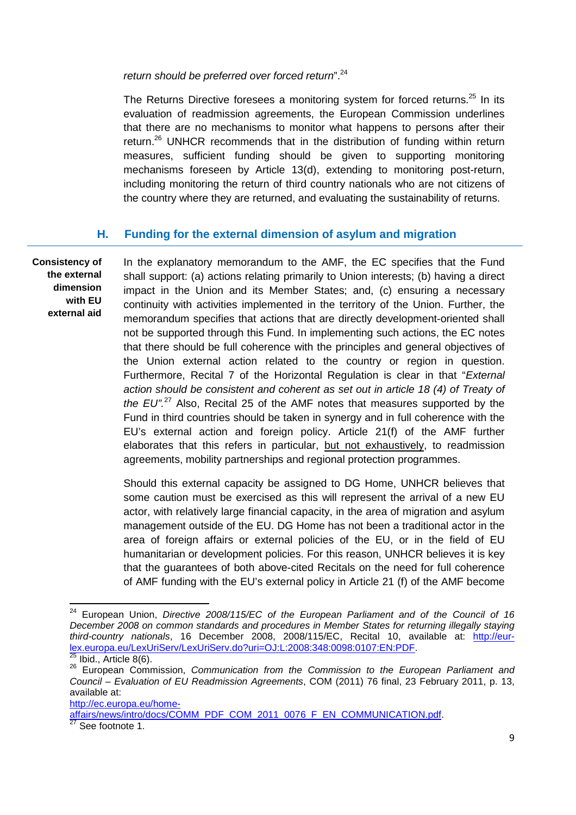return should be preferred over forced return".<sup>24</sup>

The Returns Directive foresees a monitoring system for forced returns.<sup>25</sup> In its evaluation of readmission agreements, the European Commission underlines that there are no mechanisms to monitor what happens to persons after their return.<sup>26</sup> UNHCR recommends that in the distribution of funding within return measures, sufficient funding should be given to supporting monitoring mechanisms foreseen by Article 13(d), extending to monitoring post-return, including monitoring the return of third country nationals who are not citizens of the country where they are returned, and evaluating the sustainability of returns.

## **H. Funding for the external dimension of asylum and migration**

**Consistency of the external dimension with EU external aid** 

 In the explanatory memorandum to the AMF, the EC specifies that the Fund shall support: (a) actions relating primarily to Union interests; (b) having a direct impact in the Union and its Member States; and, (c) ensuring a necessary continuity with activities implemented in the territory of the Union. Further, the memorandum specifies that actions that are directly development-oriented shall not be supported through this Fund. In implementing such actions, the EC notes that there should be full coherence with the principles and general objectives of the Union external action related to the country or region in question. Furthermore, Recital 7 of the Horizontal Regulation is clear in that "External action should be consistent and coherent as set out in article 18 (4) of Treaty of the  $EU''^{27}$  Also, Recital 25 of the AMF notes that measures supported by the Fund in third countries should be taken in synergy and in full coherence with the EU's external action and foreign policy. Article 21(f) of the AMF further elaborates that this refers in particular, but not exhaustively, to readmission agreements, mobility partnerships and regional protection programmes.

Should this external capacity be assigned to DG Home, UNHCR believes that some caution must be exercised as this will represent the arrival of a new EU actor, with relatively large financial capacity, in the area of migration and asylum management outside of the EU. DG Home has not been a traditional actor in the area of foreign affairs or external policies of the EU, or in the field of EU humanitarian or development policies. For this reason, UNHCR believes it is key that the guarantees of both above-cited Recitals on the need for full coherence of AMF funding with the EU's external policy in Article 21 (f) of the AMF become

 $\overline{a}$ 

http://ec.europa.eu/home-

affairs/news/intro/docs/COMM\_PDF\_COM\_2011\_0076\_F\_EN\_COMMUNICATION.pdf.

 $24$  European Union, Directive 2008/115/EC of the European Parliament and of the Council of 16 December 2008 on common standards and procedures in Member States for returning illegally staying third-country nationals, 16 December 2008, 2008/115/EC, Recital 10, available at: http://eurlex.europa.eu/LexUriServ/LexUriServ.do?uri=OJ:L:2008:348:0098:0107:EN:PDF.

Ibid., Article 8(6).

<sup>26</sup> European Commission, Communication from the Commission to the European Parliament and Council – Evaluation of EU Readmission Agreements, COM (2011) 76 final, 23 February 2011, p. 13, available at:

 $\frac{27}{27}$  See footnote 1.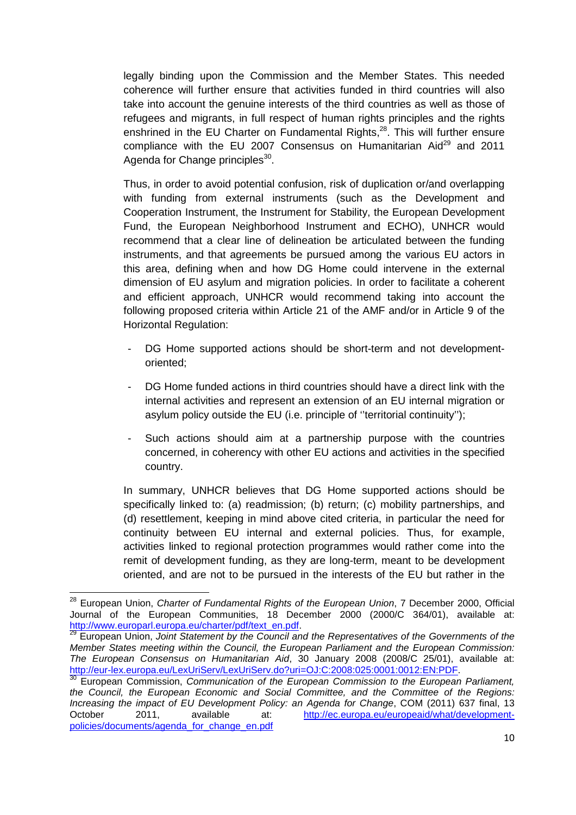legally binding upon the Commission and the Member States. This needed coherence will further ensure that activities funded in third countries will also take into account the genuine interests of the third countries as well as those of refugees and migrants, in full respect of human rights principles and the rights enshrined in the EU Charter on Fundamental Rights, $^{28}$ . This will further ensure compliance with the EU 2007 Consensus on Humanitarian Aid<sup>29</sup> and 2011 Agenda for Change principles<sup>30</sup>.

 Thus, in order to avoid potential confusion, risk of duplication or/and overlapping with funding from external instruments (such as the Development and Cooperation Instrument, the Instrument for Stability, the European Development Fund, the European Neighborhood Instrument and ECHO), UNHCR would recommend that a clear line of delineation be articulated between the funding instruments, and that agreements be pursued among the various EU actors in this area, defining when and how DG Home could intervene in the external dimension of EU asylum and migration policies. In order to facilitate a coherent and efficient approach, UNHCR would recommend taking into account the following proposed criteria within Article 21 of the AMF and/or in Article 9 of the Horizontal Regulation:

- DG Home supported actions should be short-term and not developmentoriented;
- DG Home funded actions in third countries should have a direct link with the internal activities and represent an extension of an EU internal migration or asylum policy outside the EU (i.e. principle of ''territorial continuity'');
- Such actions should aim at a partnership purpose with the countries concerned, in coherency with other EU actions and activities in the specified country.

In summary, UNHCR believes that DG Home supported actions should be specifically linked to: (a) readmission; (b) return; (c) mobility partnerships, and (d) resettlement, keeping in mind above cited criteria, in particular the need for continuity between EU internal and external policies. Thus, for example, activities linked to regional protection programmes would rather come into the remit of development funding, as they are long-term, meant to be development oriented, and are not to be pursued in the interests of the EU but rather in the

<sup>&</sup>lt;sup>28</sup> European Union, Charter of Fundamental Rights of the European Union, 7 December 2000, Official Journal of the European Communities, 18 December 2000 (2000/C 364/01), available at: http://www.europarl.europa.eu/charter/pdf/text\_en.pdf

European Union, Joint Statement by the Council and the Representatives of the Governments of the Member States meeting within the Council, the European Parliament and the European Commission: The European Consensus on Humanitarian Aid, 30 January 2008 (2008/C 25/01), available at: http://eur-lex.europa.eu/LexUriServ/LexUriServ.do?uri=OJ:C:2008:025:0001:0012:EN:PDF.

 $30$  European Commission, Communication of the European Commission to the European Parliament, the Council, the European Economic and Social Committee, and the Committee of the Regions: Increasing the impact of EU Development Policy: an Agenda for Change, COM (2011) 637 final, 13 October 2011, available at: http://ec.europa.eu/europeaid/what/developmentpolicies/documents/agenda\_for\_change\_en.pdf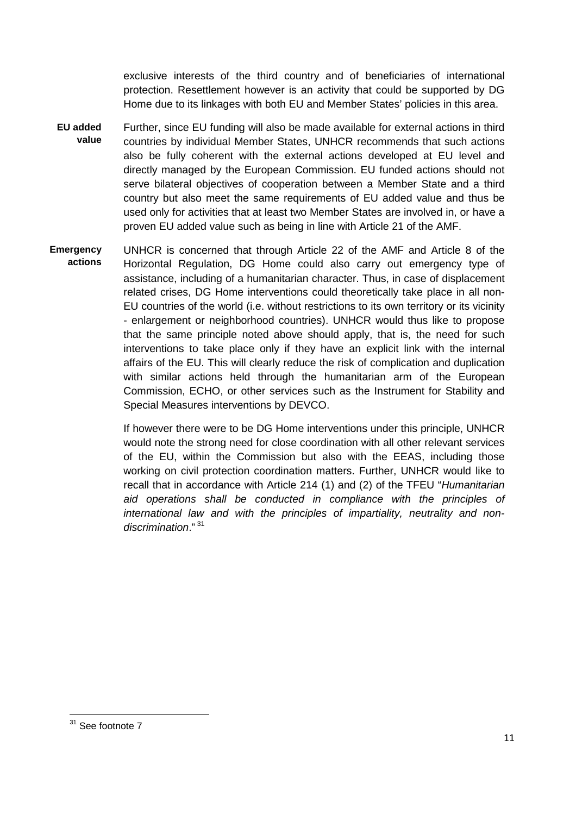exclusive interests of the third country and of beneficiaries of international protection. Resettlement however is an activity that could be supported by DG Home due to its linkages with both EU and Member States' policies in this area.

- **EU added value**  Further, since EU funding will also be made available for external actions in third countries by individual Member States, UNHCR recommends that such actions also be fully coherent with the external actions developed at EU level and directly managed by the European Commission. EU funded actions should not serve bilateral objectives of cooperation between a Member State and a third country but also meet the same requirements of EU added value and thus be used only for activities that at least two Member States are involved in, or have a proven EU added value such as being in line with Article 21 of the AMF.
- **Emergency actions**  UNHCR is concerned that through Article 22 of the AMF and Article 8 of the Horizontal Regulation, DG Home could also carry out emergency type of assistance, including of a humanitarian character. Thus, in case of displacement related crises, DG Home interventions could theoretically take place in all non-EU countries of the world (i.e. without restrictions to its own territory or its vicinity - enlargement or neighborhood countries). UNHCR would thus like to propose that the same principle noted above should apply, that is, the need for such interventions to take place only if they have an explicit link with the internal affairs of the EU. This will clearly reduce the risk of complication and duplication with similar actions held through the humanitarian arm of the European Commission, ECHO, or other services such as the Instrument for Stability and Special Measures interventions by DEVCO.

If however there were to be DG Home interventions under this principle, UNHCR would note the strong need for close coordination with all other relevant services of the EU, within the Commission but also with the EEAS, including those working on civil protection coordination matters. Further, UNHCR would like to recall that in accordance with Article 214 (1) and (2) of the TFEU "Humanitarian aid operations shall be conducted in compliance with the principles of international law and with the principles of impartiality, neutrality and nondiscrimination."<sup>31</sup>

<sup>&</sup>lt;sup>31</sup> See footnote 7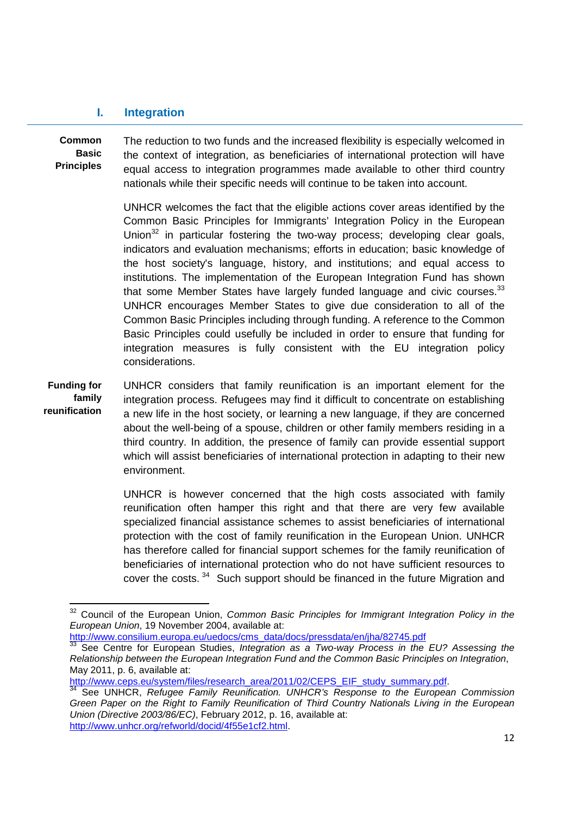### **I. Integration**

**Common Basic Principles** 

 $\overline{a}$ 

 The reduction to two funds and the increased flexibility is especially welcomed in the context of integration, as beneficiaries of international protection will have equal access to integration programmes made available to other third country nationals while their specific needs will continue to be taken into account.

UNHCR welcomes the fact that the eligible actions cover areas identified by the Common Basic Principles for Immigrants' Integration Policy in the European Union $32$  in particular fostering the two-way process; developing clear goals, indicators and evaluation mechanisms; efforts in education; basic knowledge of the host society's language, history, and institutions; and equal access to institutions. The implementation of the European Integration Fund has shown that some Member States have largely funded language and civic courses. $^{33}$ UNHCR encourages Member States to give due consideration to all of the Common Basic Principles including through funding. A reference to the Common Basic Principles could usefully be included in order to ensure that funding for integration measures is fully consistent with the EU integration policy considerations.

**Funding for family reunification**  UNHCR considers that family reunification is an important element for the integration process. Refugees may find it difficult to concentrate on establishing a new life in the host society, or learning a new language, if they are concerned about the well-being of a spouse, children or other family members residing in a third country. In addition, the presence of family can provide essential support which will assist beneficiaries of international protection in adapting to their new environment.

> UNHCR is however concerned that the high costs associated with family reunification often hamper this right and that there are very few available specialized financial assistance schemes to assist beneficiaries of international protection with the cost of family reunification in the European Union. UNHCR has therefore called for financial support schemes for the family reunification of beneficiaries of international protection who do not have sufficient resources to cover the costs.<sup>34</sup> Such support should be financed in the future Migration and

http://www.consilium.europa.eu/uedocs/cms\_data/docs/pressdata/en/jha/82745.pdf

http://www.ceps.eu/system/files/research\_area/2011/02/CEPS\_EIF\_study\_summary.pdf.

<sup>&</sup>lt;sup>32</sup> Council of the European Union, Common Basic Principles for Immigrant Integration Policy in the European Union, 19 November 2004, available at:

 $33$  See Centre for European Studies, Integration as a Two-way Process in the EU? Assessing the Relationship between the European Integration Fund and the Common Basic Principles on Integration, May 2011, p. 6, available at:

<sup>&</sup>lt;sup>34</sup> See UNHCR, Refugee Family Reunification. UNHCR's Response to the European Commission Green Paper on the Right to Family Reunification of Third Country Nationals Living in the European Union (Directive 2003/86/EC), February 2012, p. 16, available at: http://www.unhcr.org/refworld/docid/4f55e1cf2.html.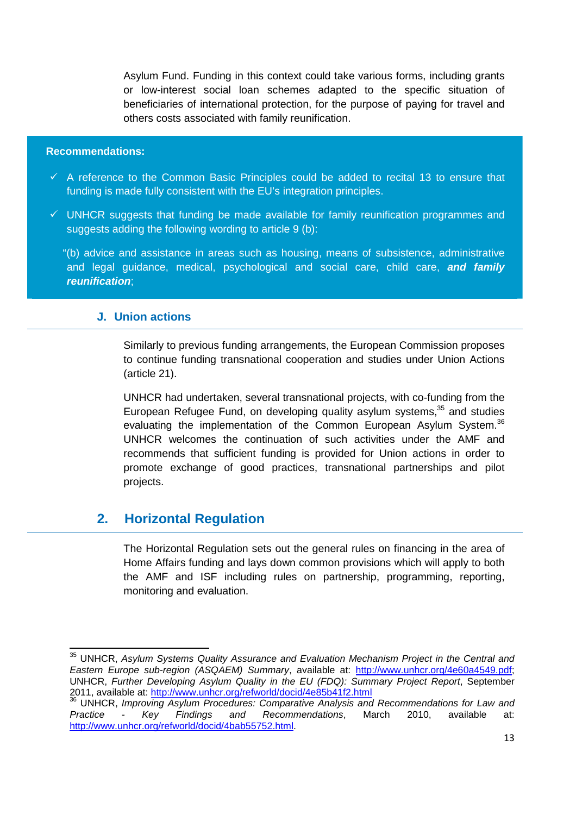Asylum Fund. Funding in this context could take various forms, including grants or low-interest social loan schemes adapted to the specific situation of beneficiaries of international protection, for the purpose of paying for travel and others costs associated with family reunification.

#### **Recommendations:**

l

- $\checkmark$  A reference to the Common Basic Principles could be added to recital 13 to ensure that funding is made fully consistent with the EU's integration principles.
- $\checkmark$  UNHCR suggests that funding be made available for family reunification programmes and suggests adding the following wording to article 9 (b):

"(b) advice and assistance in areas such as housing, means of subsistence, administrative and legal guidance, medical, psychological and social care, child care, **and family reunification**;

#### **J. Union actions**

Similarly to previous funding arrangements, the European Commission proposes to continue funding transnational cooperation and studies under Union Actions (article 21).

UNHCR had undertaken, several transnational projects, with co-funding from the European Refugee Fund, on developing quality asylum systems,<sup>35</sup> and studies evaluating the implementation of the Common European Asylum System.<sup>36</sup> UNHCR welcomes the continuation of such activities under the AMF and recommends that sufficient funding is provided for Union actions in order to promote exchange of good practices, transnational partnerships and pilot projects.

# **2. Horizontal Regulation**

The Horizontal Regulation sets out the general rules on financing in the area of Home Affairs funding and lays down common provisions which will apply to both the AMF and ISF including rules on partnership, programming, reporting, monitoring and evaluation.

<sup>&</sup>lt;sup>35</sup> UNHCR, Asylum Systems Quality Assurance and Evaluation Mechanism Project in the Central and Eastern Europe sub-region (ASQAEM) Summary, available at: http://www.unhcr.org/4e60a4549.pdf; UNHCR, Further Developing Asylum Quality in the EU (FDQ): Summary Project Report, September 2011, available at: http://www.unhcr.org/refworld/docid/4e85b41f2.html

<sup>&</sup>lt;sup>36</sup> UNHCR, Improving Asylum Procedures: Comparative Analysis and Recommendations for Law and Practice - Key Findings and Recommendations, March 2010, available at: http://www.unhcr.org/refworld/docid/4bab55752.html.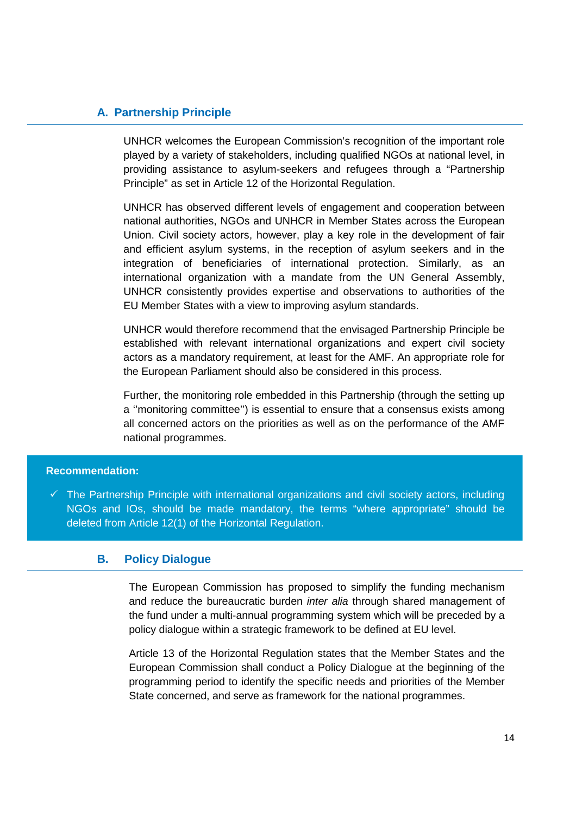## **A. Partnership Principle**

UNHCR welcomes the European Commission's recognition of the important role played by a variety of stakeholders, including qualified NGOs at national level, in providing assistance to asylum-seekers and refugees through a "Partnership Principle" as set in Article 12 of the Horizontal Regulation.

UNHCR has observed different levels of engagement and cooperation between national authorities, NGOs and UNHCR in Member States across the European Union. Civil society actors, however, play a key role in the development of fair and efficient asylum systems, in the reception of asylum seekers and in the integration of beneficiaries of international protection. Similarly, as an international organization with a mandate from the UN General Assembly, UNHCR consistently provides expertise and observations to authorities of the EU Member States with a view to improving asylum standards.

UNHCR would therefore recommend that the envisaged Partnership Principle be established with relevant international organizations and expert civil society actors as a mandatory requirement, at least for the AMF. An appropriate role for the European Parliament should also be considered in this process.

Further, the monitoring role embedded in this Partnership (through the setting up a ''monitoring committee'') is essential to ensure that a consensus exists among all concerned actors on the priorities as well as on the performance of the AMF national programmes.

#### **Recommendation:**

 $\checkmark$  The Partnership Principle with international organizations and civil society actors, including NGOs and IOs, should be made mandatory, the terms "where appropriate" should be deleted from Article 12(1) of the Horizontal Regulation.

### **B. Policy Dialogue**

 The European Commission has proposed to simplify the funding mechanism and reduce the bureaucratic burden *inter alia* through shared management of the fund under a multi-annual programming system which will be preceded by a policy dialogue within a strategic framework to be defined at EU level.

Article 13 of the Horizontal Regulation states that the Member States and the European Commission shall conduct a Policy Dialogue at the beginning of the programming period to identify the specific needs and priorities of the Member State concerned, and serve as framework for the national programmes.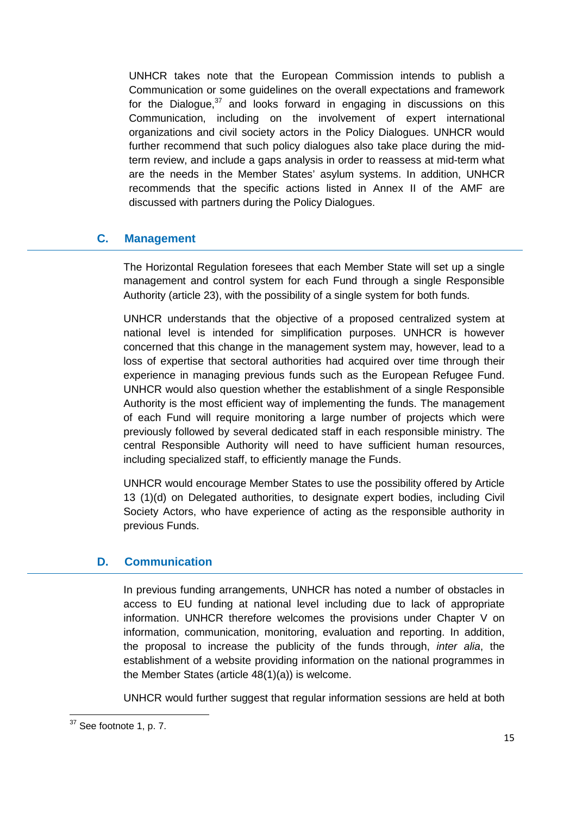UNHCR takes note that the European Commission intends to publish a Communication or some guidelines on the overall expectations and framework for the Dialogue, $37$  and looks forward in engaging in discussions on this Communication, including on the involvement of expert international organizations and civil society actors in the Policy Dialogues. UNHCR would further recommend that such policy dialogues also take place during the midterm review, and include a gaps analysis in order to reassess at mid-term what are the needs in the Member States' asylum systems. In addition, UNHCR recommends that the specific actions listed in Annex II of the AMF are discussed with partners during the Policy Dialogues.

## **C. Management**

The Horizontal Regulation foresees that each Member State will set up a single management and control system for each Fund through a single Responsible Authority (article 23), with the possibility of a single system for both funds.

UNHCR understands that the objective of a proposed centralized system at national level is intended for simplification purposes. UNHCR is however concerned that this change in the management system may, however, lead to a loss of expertise that sectoral authorities had acquired over time through their experience in managing previous funds such as the European Refugee Fund. UNHCR would also question whether the establishment of a single Responsible Authority is the most efficient way of implementing the funds. The management of each Fund will require monitoring a large number of projects which were previously followed by several dedicated staff in each responsible ministry. The central Responsible Authority will need to have sufficient human resources, including specialized staff, to efficiently manage the Funds.

UNHCR would encourage Member States to use the possibility offered by Article 13 (1)(d) on Delegated authorities, to designate expert bodies, including Civil Society Actors, who have experience of acting as the responsible authority in previous Funds.

## **D. Communication**

In previous funding arrangements, UNHCR has noted a number of obstacles in access to EU funding at national level including due to lack of appropriate information. UNHCR therefore welcomes the provisions under Chapter V on information, communication, monitoring, evaluation and reporting. In addition, the proposal to increase the publicity of the funds through, inter alia, the establishment of a website providing information on the national programmes in the Member States (article 48(1)(a)) is welcome.

UNHCR would further suggest that regular information sessions are held at both

 $37$  See footnote 1, p. 7.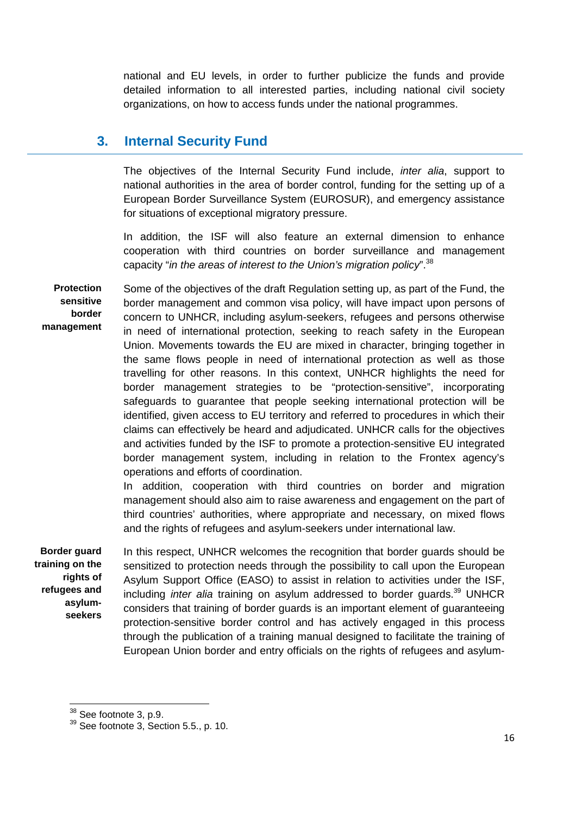national and EU levels, in order to further publicize the funds and provide detailed information to all interested parties, including national civil society organizations, on how to access funds under the national programmes.

# **3. Internal Security Fund**

The objectives of the Internal Security Fund include, *inter alia*, support to national authorities in the area of border control, funding for the setting up of a European Border Surveillance System (EUROSUR), and emergency assistance for situations of exceptional migratory pressure.

In addition, the ISF will also feature an external dimension to enhance cooperation with third countries on border surveillance and management capacity "in the areas of interest to the Union's migration policy".  $38$ 

**Protection sensitive border management**  Some of the objectives of the draft Regulation setting up, as part of the Fund, the border management and common visa policy, will have impact upon persons of concern to UNHCR, including asylum-seekers, refugees and persons otherwise in need of international protection, seeking to reach safety in the European Union. Movements towards the EU are mixed in character, bringing together in the same flows people in need of international protection as well as those travelling for other reasons. In this context, UNHCR highlights the need for border management strategies to be "protection-sensitive", incorporating safeguards to guarantee that people seeking international protection will be identified, given access to EU territory and referred to procedures in which their claims can effectively be heard and adjudicated. UNHCR calls for the objectives and activities funded by the ISF to promote a protection-sensitive EU integrated border management system, including in relation to the Frontex agency's operations and efforts of coordination.

In addition, cooperation with third countries on border and migration management should also aim to raise awareness and engagement on the part of third countries' authorities, where appropriate and necessary, on mixed flows and the rights of refugees and asylum-seekers under international law.

**Border guard training on the rights of refugees and asylumseekers** 

 $\overline{a}$ 

In this respect, UNHCR welcomes the recognition that border guards should be sensitized to protection needs through the possibility to call upon the European Asylum Support Office (EASO) to assist in relation to activities under the ISF, including *inter alia* training on asylum addressed to border guards.<sup>39</sup> UNHCR considers that training of border guards is an important element of guaranteeing protection-sensitive border control and has actively engaged in this process through the publication of a training manual designed to facilitate the training of European Union border and entry officials on the rights of refugees and asylum-

<sup>&</sup>lt;sup>38</sup> See footnote 3, p.9.

 $39$  See footnote 3, Section 5.5., p. 10.